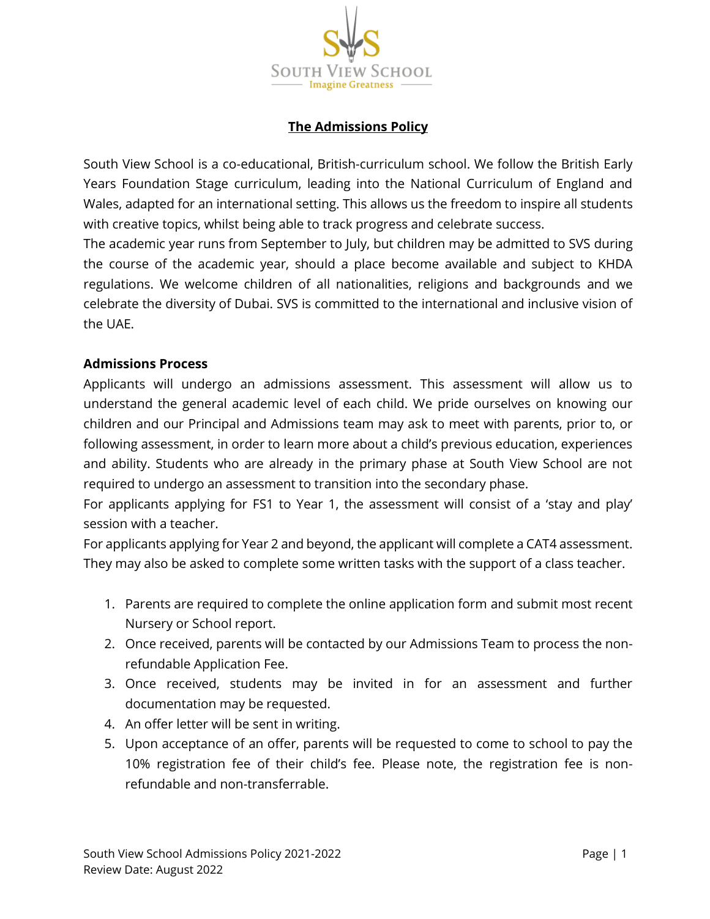

# **The Admissions Policy**

South View School is a co-educational, British-curriculum school. We follow the British Early Years Foundation Stage curriculum, leading into the National Curriculum of England and Wales, adapted for an international setting. This allows us the freedom to inspire all students with creative topics, whilst being able to track progress and celebrate success.

The academic year runs from September to July, but children may be admitted to SVS during the course of the academic year, should a place become available and subject to KHDA regulations. We welcome children of all nationalities, religions and backgrounds and we celebrate the diversity of Dubai. SVS is committed to the international and inclusive vision of the UAE.

### **Admissions Process**

Applicants will undergo an admissions assessment. This assessment will allow us to understand the general academic level of each child. We pride ourselves on knowing our children and our Principal and Admissions team may ask to meet with parents, prior to, or following assessment, in order to learn more about a child's previous education, experiences and ability. Students who are already in the primary phase at South View School are not required to undergo an assessment to transition into the secondary phase.

For applicants applying for FS1 to Year 1, the assessment will consist of a 'stay and play' session with a teacher.

For applicants applying for Year 2 and beyond, the applicant will complete a CAT4 assessment. They may also be asked to complete some written tasks with the support of a class teacher.

- 1. Parents are required to complete the online application form and submit most recent Nursery or School report.
- 2. Once received, parents will be contacted by our Admissions Team to process the nonrefundable Application Fee.
- 3. Once received, students may be invited in for an assessment and further documentation may be requested.
- 4. An offer letter will be sent in writing.
- 5. Upon acceptance of an offer, parents will be requested to come to school to pay the 10% registration fee of their child's fee. Please note, the registration fee is nonrefundable and non-transferrable.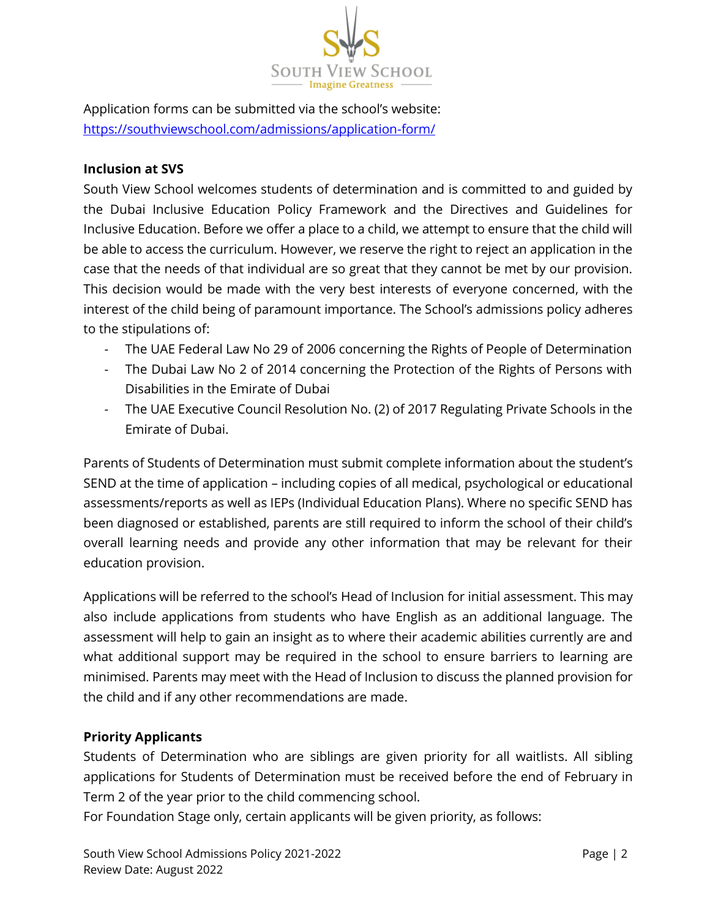

Application forms can be submitted via the school's website: <https://southviewschool.com/admissions/application-form/>

## **Inclusion at SVS**

South View School welcomes students of determination and is committed to and guided by the Dubai Inclusive Education Policy Framework and the Directives and Guidelines for Inclusive Education. Before we offer a place to a child, we attempt to ensure that the child will be able to access the curriculum. However, we reserve the right to reject an application in the case that the needs of that individual are so great that they cannot be met by our provision. This decision would be made with the very best interests of everyone concerned, with the interest of the child being of paramount importance. The School's admissions policy adheres to the stipulations of:

- The UAE Federal Law No 29 of 2006 concerning the Rights of People of Determination
- The Dubai Law No 2 of 2014 concerning the Protection of the Rights of Persons with Disabilities in the Emirate of Dubai
- The UAE Executive Council Resolution No. (2) of 2017 Regulating Private Schools in the Emirate of Dubai.

Parents of Students of Determination must submit complete information about the student's SEND at the time of application – including copies of all medical, psychological or educational assessments/reports as well as IEPs (Individual Education Plans). Where no specific SEND has been diagnosed or established, parents are still required to inform the school of their child's overall learning needs and provide any other information that may be relevant for their education provision.

Applications will be referred to the school's Head of Inclusion for initial assessment. This may also include applications from students who have English as an additional language. The assessment will help to gain an insight as to where their academic abilities currently are and what additional support may be required in the school to ensure barriers to learning are minimised. Parents may meet with the Head of Inclusion to discuss the planned provision for the child and if any other recommendations are made.

## **Priority Applicants**

Students of Determination who are siblings are given priority for all waitlists. All sibling applications for Students of Determination must be received before the end of February in Term 2 of the year prior to the child commencing school.

For Foundation Stage only, certain applicants will be given priority, as follows: